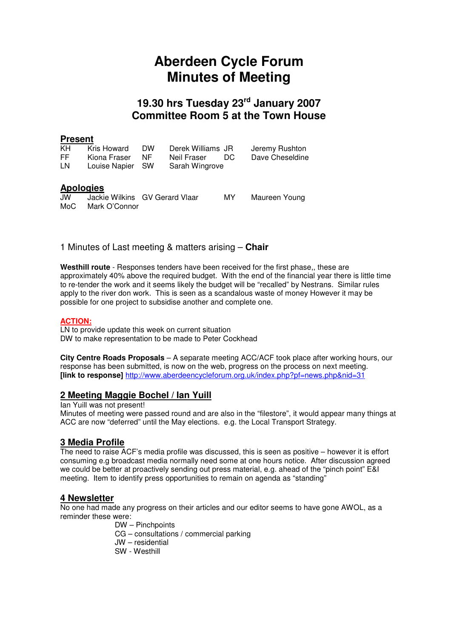# **Aberdeen Cycle Forum Minutes of Meeting**

# **19.30 hrs Tuesday 23rd January 2007 Committee Room 5 at the Town House**

#### **Present**

MoC Mark O'Connor

| KΗ  | Kris Howard      | DW                             | Derek Williams JR |     | Jeremy Rushton  |
|-----|------------------|--------------------------------|-------------------|-----|-----------------|
| FF. | Kiona Fraser     | NF.                            | Neil Fraser       | DC. | Dave Cheseldine |
| LN  | Louise Napier SW |                                | Sarah Wingrove    |     |                 |
|     | <b>Apologies</b> |                                |                   |     |                 |
| JW  |                  | Jackie Wilkins GV Gerard Vlaar |                   | MY. | Maureen Young   |

1 Minutes of Last meeting & matters arising – **Chair**

**Westhill route** - Responses tenders have been received for the first phase,, these are approximately 40% above the required budget. With the end of the financial year there is little time to re-tender the work and it seems likely the budget will be "recalled" by Nestrans. Similar rules apply to the river don work. This is seen as a scandalous waste of money However it may be possible for one project to subsidise another and complete one.

#### **ACTION:**

LN to provide update this week on current situation DW to make representation to be made to Peter Cockhead

**City Centre Roads Proposals** – A separate meeting ACC/ACF took place after working hours, our response has been submitted, is now on the web, progress on the process on next meeting. **[link to response]** http://www.aberdeencycleforum.org.uk/index.php?pf=news.php&nid=31

## **2 Meeting Maggie Bochel / Ian Yuill**

Ian Yuill was not present! Minutes of meeting were passed round and are also in the "filestore", it would appear many things at ACC are now "deferred" until the May elections. e.g. the Local Transport Strategy.

## **3 Media Profile**

The need to raise ACF's media profile was discussed, this is seen as positive – however it is effort consuming e.g broadcast media normally need some at one hours notice. After discussion agreed we could be better at proactively sending out press material, e.g. ahead of the "pinch point" E&I meeting. Item to identify press opportunities to remain on agenda as "standing"

## **4 Newsletter**

No one had made any progress on their articles and our editor seems to have gone AWOL, as a reminder these were:

DW – Pinchpoints

CG – consultations / commercial parking

- JW residential
- SW Westhill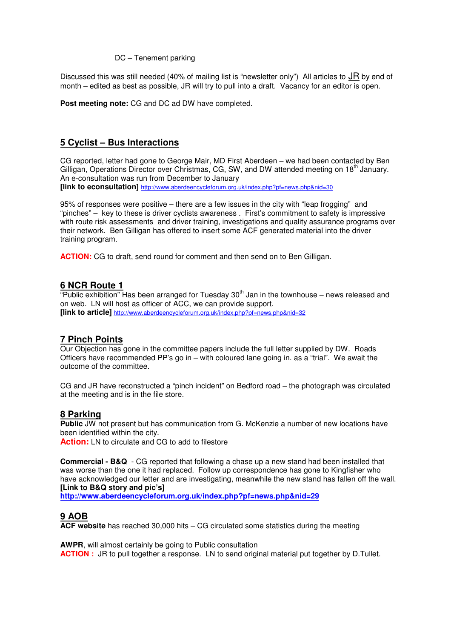DC – Tenement parking

Discussed this was still needed (40% of mailing list is "newsletter only") All articles to JR by end of month – edited as best as possible, JR will try to pull into a draft. Vacancy for an editor is open.

**Post meeting note:** CG and DC ad DW have completed.

## **5 Cyclist – Bus Interactions**

CG reported, letter had gone to George Mair, MD First Aberdeen – we had been contacted by Ben Gilligan, Operations Director over Christmas, CG, SW, and DW attended meeting on 18<sup>th</sup> January. An e-consultation was run from December to January **[link to econsultation]** http://www.aberdeencycleforum.org.uk/index.php?pf=news.php&nid=30

95% of responses were positive – there are a few issues in the city with "leap frogging" and "pinches" – key to these is driver cyclists awareness . First's commitment to safety is impressive with route risk assessments and driver training, investigations and quality assurance programs over their network. Ben Gilligan has offered to insert some ACF generated material into the driver training program.

**ACTION:** CG to draft, send round for comment and then send on to Ben Gilligan.

## **6 NCR Route 1**

"Public exhibition" Has been arranged for Tuesday  $30<sup>th</sup>$  Jan in the townhouse – news released and on web. LN will host as officer of ACC, we can provide support. **[link to article]** http://www.aberdeencycleforum.org.uk/index.php?pf=news.php&nid=32

## **7 Pinch Points**

Our Objection has gone in the committee papers include the full letter supplied by DW. Roads Officers have recommended PP's go in – with coloured lane going in. as a "trial". We await the outcome of the committee.

CG and JR have reconstructed a "pinch incident" on Bedford road – the photograph was circulated at the meeting and is in the file store.

#### **8 Parking**

**Public** JW not present but has communication from G. McKenzie a number of new locations have been identified within the city.

**Action:** LN to circulate and CG to add to filestore

**Commercial - B&Q** - CG reported that following a chase up a new stand had been installed that was worse than the one it had replaced. Follow up correspondence has gone to Kingfisher who have acknowledged our letter and are investigating, meanwhile the new stand has fallen off the wall. **[Link to B&Q story and pic's]**

**http://www.aberdeencycleforum.org.uk/index.php?pf=news.php&nid=29**

## **9 AOB**

**ACF website** has reached 30,000 hits – CG circulated some statistics during the meeting

**AWPR**, will almost certainly be going to Public consultation **ACTION :** JR to pull together a response. LN to send original material put together by D.Tullet.